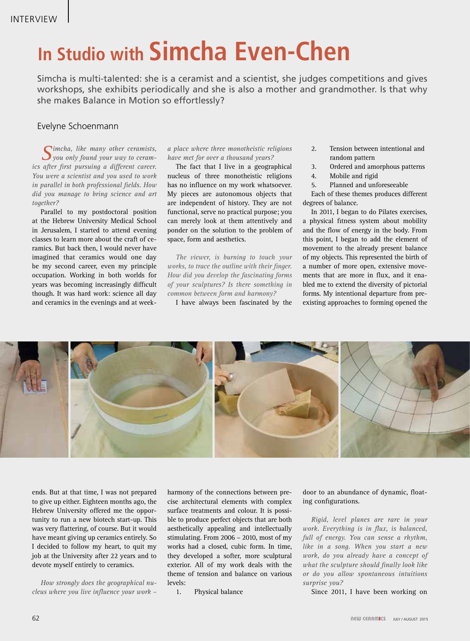## **In Studio with Simcha Even-Chen**

Simcha is multi-talented: she is a ceramist and a scientist, she judges competitions and gives workshops, she exhibits periodically and she is also a mother and grandmother. Is that why she makes Balance in Motion so effortlessly?

## Evelyne Schoenmann

*Simcha, like many other ceramists, you only found your way to ceramics after first pursuing a different career. You were a scientist and you used to work in parallel in both professional fields. How did you manage to bring science and art together?*

Parallel to my postdoctoral position at the Hebrew University Medical School in Jerusalem, I started to attend evening classes to learn more about the craft of ceramics. But back then, I would never have imagined that ceramics would one day be my second career, even my principle occupation. Working in both worlds for years was becoming increasingly difficult though. It was hard work: science all day and ceramics in the evenings and at week-

*a place where three monotheistic religions have met for over a thousand years?*

The fact that I live in a geographical nucleus of three monotheistic religions has no influence on my work whatsoever. My pieces are autonomous objects that are independent of history. They are not functional, serve no practical purpose; you can merely look at them attentively and ponder on the solution to the problem of space, form and aesthetics.

*The viewer, is burning to touch your works, to trace the outline with their finger. How did you develop the fascinating forms of your sculptures? Is there something in common between form and harmony?*

I have always been fascinated by the

- 2. Tension between intentional and random pattern
- 3. Ordered and amorphous patterns
- 4. Mobile and rigid
- 5. Planned and unforeseeable

Each of these themes produces different degrees of balance.

In 2011, I began to do Pilates exercises, a physical fitness system about mobility and the flow of energy in the body. From this point, I began to add the element of movement to the already present balance of my objects. This represented the birth of a number of more open, extensive movements that are more in flux, and it enabled me to extend the diversity of pictorial forms. My intentional departure from preexisting approaches to forming opened the



ends. But at that time, I was not prepared to give up either. Eighteen months ago, the Hebrew University offered me the opportunity to run a new biotech start-up. This was very flattering, of course. But it would have meant giving up ceramics entirely. So I decided to follow my heart, to quit my job at the University after 22 years and to devote myself entirely to ceramics.

*How strongly does the geographical nucleus where you live influence your work –* 

harmony of the connections between precise architectural elements with complex surface treatments and colour. It is possible to produce perfect objects that are both aesthetically appealing and intellectually stimulating. From 2006 – 2010, most of my works had a closed, cubic form. In time, they developed a softer, more sculptural exterior. All of my work deals with the theme of tension and balance on various levels:

1. Physical balance

door to an abundance of dynamic, floating configurations.

*Rigid, level planes are rare in your work. Everything is in flux, is balanced, full of energy. You can sense a rhythm, like in a song. When you start a new work, do you already have a concept of what the sculpture should finally look like or do you allow spontaneous intuitions surprise you?*

Since 2011, I have been working on